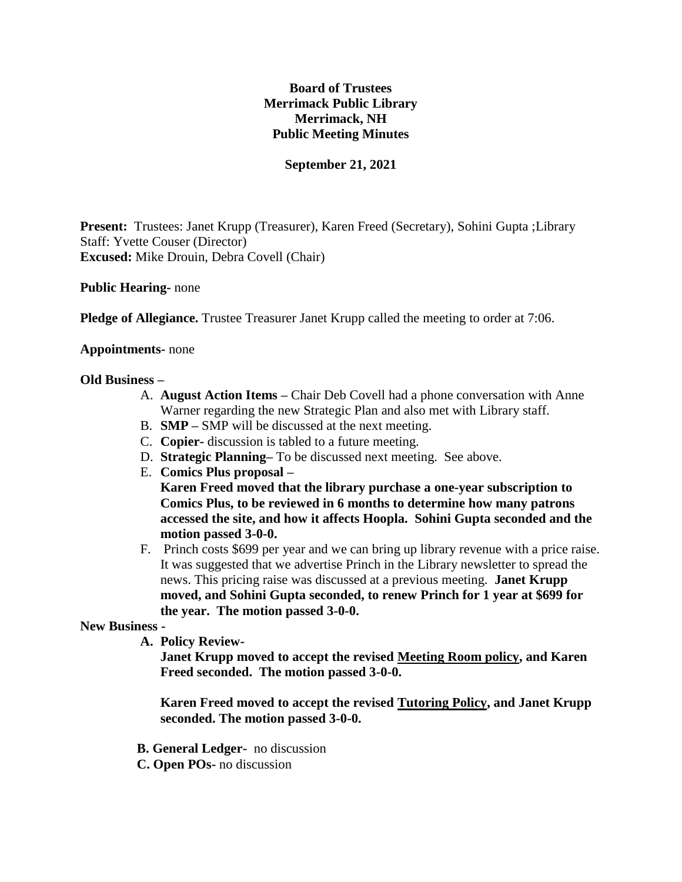# **Board of Trustees Merrimack Public Library Merrimack, NH Public Meeting Minutes**

# **September 21, 2021**

**Present:** Trustees: Janet Krupp (Treasurer), Karen Freed (Secretary), Sohini Gupta ;Library Staff: Yvette Couser (Director) **Excused:** Mike Drouin, Debra Covell (Chair)

**Public Hearing-** none

**Pledge of Allegiance.** Trustee Treasurer Janet Krupp called the meeting to order at 7:06.

#### **Appointments-** none

#### **Old Business –**

- A. **August Action Items –** Chair Deb Covell had a phone conversation with Anne Warner regarding the new Strategic Plan and also met with Library staff.
- B. **SMP –** SMP will be discussed at the next meeting.
- C. **Copier-** discussion is tabled to a future meeting.
- D. **Strategic Planning–** To be discussed next meeting. See above.
- E. **Comics Plus proposal – Karen Freed moved that the library purchase a one-year subscription to Comics Plus, to be reviewed in 6 months to determine how many patrons accessed the site, and how it affects Hoopla. Sohini Gupta seconded and the motion passed 3-0-0.**
- F. Princh costs \$699 per year and we can bring up library revenue with a price raise. It was suggested that we advertise Princh in the Library newsletter to spread the news. This pricing raise was discussed at a previous meeting. **Janet Krupp moved, and Sohini Gupta seconded, to renew Princh for 1 year at \$699 for the year. The motion passed 3-0-0.**

### **New Business -**

**A. Policy Review-**

**Janet Krupp moved to accept the revised Meeting Room policy, and Karen Freed seconded. The motion passed 3-0-0.**

**Karen Freed moved to accept the revised Tutoring Policy, and Janet Krupp seconded. The motion passed 3-0-0.**

- **B. General Ledger-** no discussion
- **C. Open POs-** no discussion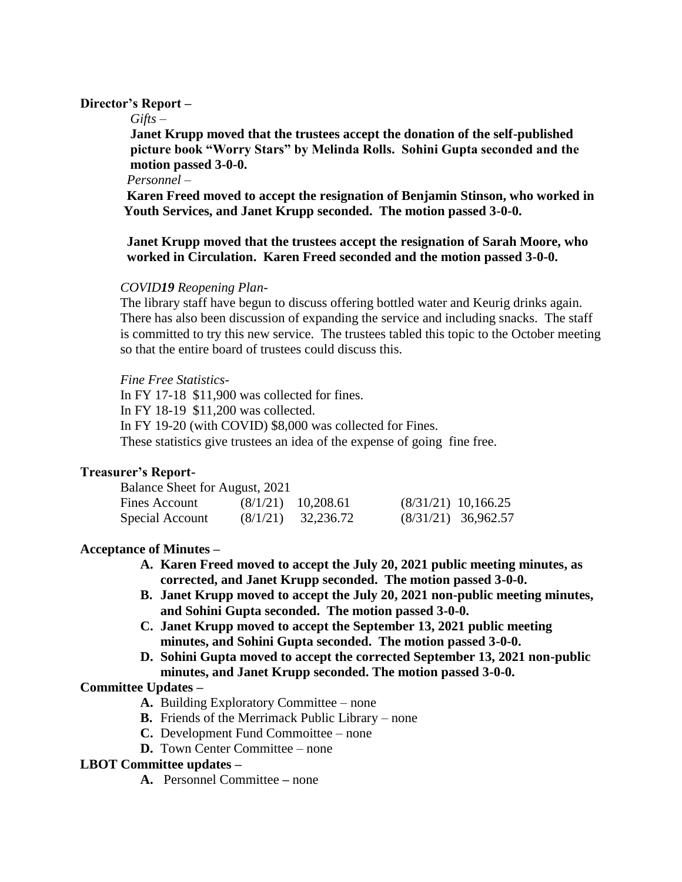## **Director's Report –**

### *Gifts –*

**Janet Krupp moved that the trustees accept the donation of the self-published picture book "Worry Stars" by Melinda Rolls. Sohini Gupta seconded and the motion passed 3-0-0.**

#### *Personnel –*

 **Karen Freed moved to accept the resignation of Benjamin Stinson, who worked in Youth Services, and Janet Krupp seconded. The motion passed 3-0-0.**

 **Janet Krupp moved that the trustees accept the resignation of Sarah Moore, who worked in Circulation. Karen Freed seconded and the motion passed 3-0-0.**

# *COVID19 Reopening Plan-*

The library staff have begun to discuss offering bottled water and Keurig drinks again. There has also been discussion of expanding the service and including snacks. The staff is committed to try this new service. The trustees tabled this topic to the October meeting so that the entire board of trustees could discuss this.

### *Fine Free Statistics-*

In FY 17-18 \$11,900 was collected for fines. In FY 18-19 \$11,200 was collected. In FY 19-20 (with COVID) \$8,000 was collected for Fines. These statistics give trustees an idea of the expense of going fine free.

# **Treasurer's Report-**

| Balance Sheet for August, 2021 |                      |                       |                       |
|--------------------------------|----------------------|-----------------------|-----------------------|
| Fines Account                  | $(8/1/21)$ 10,208.61 | $(8/31/21)$ 10,166.25 |                       |
| Special Account                | $(8/1/21)$ 32,236.72 |                       | $(8/31/21)$ 36,962.57 |

### **Acceptance of Minutes –**

- **A. Karen Freed moved to accept the July 20, 2021 public meeting minutes, as corrected, and Janet Krupp seconded. The motion passed 3-0-0.**
- **B. Janet Krupp moved to accept the July 20, 2021 non-public meeting minutes, and Sohini Gupta seconded. The motion passed 3-0-0.**
- **C. Janet Krupp moved to accept the September 13, 2021 public meeting minutes, and Sohini Gupta seconded. The motion passed 3-0-0.**
- **D. Sohini Gupta moved to accept the corrected September 13, 2021 non-public minutes, and Janet Krupp seconded. The motion passed 3-0-0.**

# **Committee Updates –**

- **A.** Building Exploratory Committee none
- **B.** Friends of the Merrimack Public Library none
- **C.** Development Fund Commoittee none
- **D.** Town Center Committee none

### **LBOT Committee updates –**

**A.** Personnel Committee **–** none